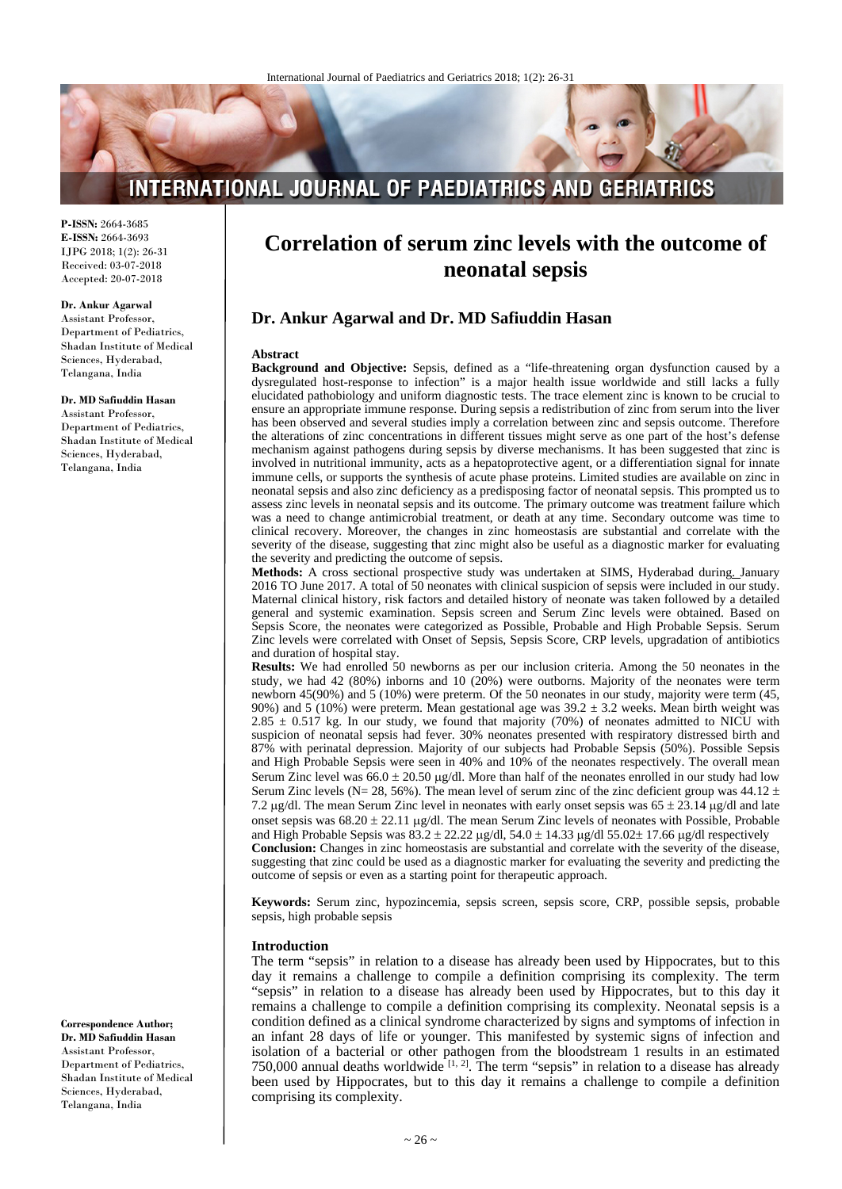# **INTERNATIONAL JOURNAL OF PAEDIATRICS AND GERIATRICS**

**P-ISSN:** 2664-3685 **E-ISSN:** 2664-3693 IJPG 2018; 1(2): 26-31 Received: 03-07-2018 Accepted: 20-07-2018

#### **Dr. Ankur Agarwal**

Assistant Professor, Department of Pediatrics, Shadan Institute of Medical Sciences, Hyderabad, Telangana, India

#### **Dr. MD Safiuddin Hasan**

Assistant Professor, Department of Pediatrics, Shadan Institute of Medical Sciences, Hyderabad, Telangana, India

**Correspondence Author; Dr. MD Safiuddin Hasan** Assistant Professor, Department of Pediatrics, Shadan Institute of Medical Sciences, Hyderabad, Telangana, India

# **Correlation of serum zinc levels with the outcome of neonatal sepsis**

# **Dr. Ankur Agarwal and Dr. MD Safiuddin Hasan**

#### **Abstract**

**Background and Objective:** Sepsis, defined as a "life-threatening organ dysfunction caused by a dysregulated host-response to infection" is a major health issue worldwide and still lacks a fully elucidated pathobiology and uniform diagnostic tests. The trace element zinc is known to be crucial to ensure an appropriate immune response. During sepsis a redistribution of zinc from serum into the liver has been observed and several studies imply a correlation between zinc and sepsis outcome. Therefore the alterations of zinc concentrations in different tissues might serve as one part of the host's defense mechanism against pathogens during sepsis by diverse mechanisms. It has been suggested that zinc is involved in nutritional immunity, acts as a hepatoprotective agent, or a differentiation signal for innate immune cells, or supports the synthesis of acute phase proteins. Limited studies are available on zinc in neonatal sepsis and also zinc deficiency as a predisposing factor of neonatal sepsis. This prompted us to assess zinc levels in neonatal sepsis and its outcome. The primary outcome was treatment failure which was a need to change antimicrobial treatment, or death at any time. Secondary outcome was time to clinical recovery. Moreover, the changes in zinc homeostasis are substantial and correlate with the severity of the disease, suggesting that zinc might also be useful as a diagnostic marker for evaluating the severity and predicting the outcome of sepsis.

**Methods:** A cross sectional prospective study was undertaken at SIMS, Hyderabad during. January 2016 TO June 2017. A total of 50 neonates with clinical suspicion of sepsis were included in our study. Maternal clinical history, risk factors and detailed history of neonate was taken followed by a detailed general and systemic examination. Sepsis screen and Serum Zinc levels were obtained. Based on Sepsis Score, the neonates were categorized as Possible, Probable and High Probable Sepsis. Serum Zinc levels were correlated with Onset of Sepsis, Sepsis Score, CRP levels, upgradation of antibiotics and duration of hospital stay.

**Results:** We had enrolled 50 newborns as per our inclusion criteria. Among the 50 neonates in the study, we had 42 (80%) inborns and 10 (20%) were outborns. Majority of the neonates were term newborn 45(90%) and 5 (10%) were preterm. Of the 50 neonates in our study, majority were term (45, 90%) and 5 (10%) were preterm. Mean gestational age was  $39.2 \pm 3.2$  weeks. Mean birth weight was  $2.85 \pm 0.517$  kg. In our study, we found that majority (70%) of neonates admitted to NICU with suspicion of neonatal sepsis had fever. 30% neonates presented with respiratory distressed birth and 87% with perinatal depression. Majority of our subjects had Probable Sepsis (50%). Possible Sepsis and High Probable Sepsis were seen in 40% and 10% of the neonates respectively. The overall mean Serum Zinc level was  $66.0 \pm 20.50 \,\mu\text{g/dl}$ . More than half of the neonates enrolled in our study had low Serum Zinc levels (N= 28, 56%). The mean level of serum zinc of the zinc deficient group was 44.12  $\pm$ 7.2  $\mu$ g/dl. The mean Serum Zinc level in neonates with early onset sepsis was 65  $\pm$  23.14  $\mu$ g/dl and late onset sepsis was  $68.20 \pm 22.11 \mu g/d$ . The mean Serum Zinc levels of neonates with Possible, Probable and High Probable Sepsis was  $83.2 \pm 22.22 \mu g/dl$ ,  $54.0 \pm 14.33 \mu g/dl$   $55.02 \pm 17.66 \mu g/dl$  respectively **Conclusion:** Changes in zinc homeostasis are substantial and correlate with the severity of the disease, suggesting that zinc could be used as a diagnostic marker for evaluating the severity and predicting the outcome of sepsis or even as a starting point for therapeutic approach.

**Keywords:** Serum zinc, hypozincemia, sepsis screen, sepsis score, CRP, possible sepsis, probable sepsis, high probable sepsis

#### **Introduction**

The term "sepsis" in relation to a disease has already been used by Hippocrates, but to this day it remains a challenge to compile a definition comprising its complexity. The term "sepsis" in relation to a disease has already been used by Hippocrates, but to this day it remains a challenge to compile a definition comprising its complexity. Neonatal sepsis is a condition defined as a clinical syndrome characterized by signs and symptoms of infection in an infant 28 days of life or younger. This manifested by systemic signs of infection and isolation of a bacterial or other pathogen from the bloodstream 1 results in an estimated 750,000 annual deaths worldwide  $[1, 2]$ . The term "sepsis" in relation to a disease has already been used by Hippocrates, but to this day it remains a challenge to compile a definition comprising its complexity.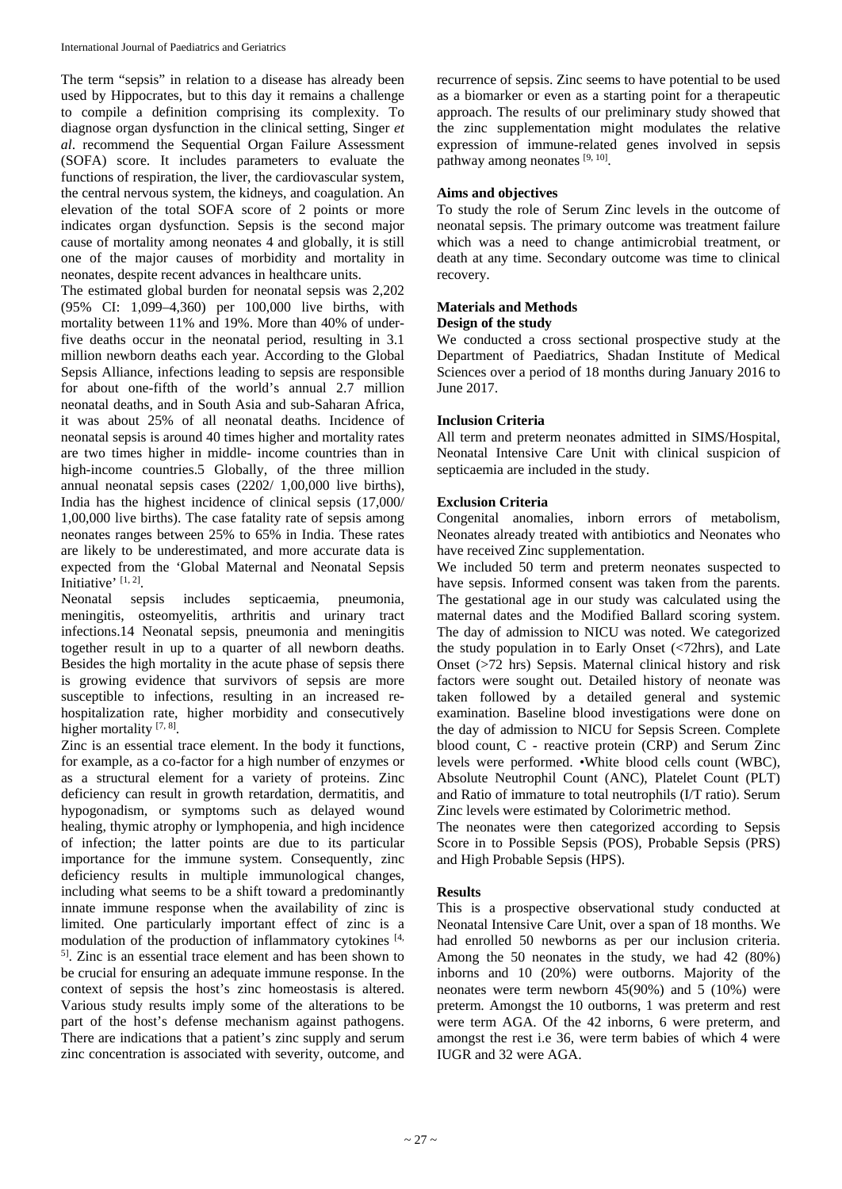The term "sepsis" in relation to a disease has already been used by Hippocrates, but to this day it remains a challenge to compile a definition comprising its complexity. To diagnose organ dysfunction in the clinical setting, Singer *et al*. recommend the Sequential Organ Failure Assessment (SOFA) score. It includes parameters to evaluate the functions of respiration, the liver, the cardiovascular system, the central nervous system, the kidneys, and coagulation. An elevation of the total SOFA score of 2 points or more indicates organ dysfunction. Sepsis is the second major cause of mortality among neonates 4 and globally, it is still one of the major causes of morbidity and mortality in neonates, despite recent advances in healthcare units.

The estimated global burden for neonatal sepsis was 2,202 (95% CI: 1,099–4,360) per 100,000 live births, with mortality between 11% and 19%. More than 40% of underfive deaths occur in the neonatal period, resulting in 3.1 million newborn deaths each year. According to the Global Sepsis Alliance, infections leading to sepsis are responsible for about one-fifth of the world's annual 2.7 million neonatal deaths, and in South Asia and sub-Saharan Africa, it was about 25% of all neonatal deaths. Incidence of neonatal sepsis is around 40 times higher and mortality rates are two times higher in middle- income countries than in high-income countries.5 Globally, of the three million annual neonatal sepsis cases (2202/ 1,00,000 live births), India has the highest incidence of clinical sepsis (17,000/ 1,00,000 live births). The case fatality rate of sepsis among neonates ranges between 25% to 65% in India. These rates are likely to be underestimated, and more accurate data is expected from the 'Global Maternal and Neonatal Sepsis Initiative' [1, 2].

Neonatal sepsis includes septicaemia, pneumonia, meningitis, osteomyelitis, arthritis and urinary tract infections.14 Neonatal sepsis, pneumonia and meningitis together result in up to a quarter of all newborn deaths. Besides the high mortality in the acute phase of sepsis there is growing evidence that survivors of sepsis are more susceptible to infections, resulting in an increased rehospitalization rate, higher morbidity and consecutively higher mortality [7, 8].

Zinc is an essential trace element. In the body it functions, for example, as a co-factor for a high number of enzymes or as a structural element for a variety of proteins. Zinc deficiency can result in growth retardation, dermatitis, and hypogonadism, or symptoms such as delayed wound healing, thymic atrophy or lymphopenia, and high incidence of infection; the latter points are due to its particular importance for the immune system. Consequently, zinc deficiency results in multiple immunological changes, including what seems to be a shift toward a predominantly innate immune response when the availability of zinc is limited. One particularly important effect of zinc is a modulation of the production of inflammatory cytokines [4, 5] . Zinc is an essential trace element and has been shown to be crucial for ensuring an adequate immune response. In the context of sepsis the host's zinc homeostasis is altered. Various study results imply some of the alterations to be part of the host's defense mechanism against pathogens. There are indications that a patient's zinc supply and serum zinc concentration is associated with severity, outcome, and recurrence of sepsis. Zinc seems to have potential to be used as a biomarker or even as a starting point for a therapeutic approach. The results of our preliminary study showed that the zinc supplementation might modulates the relative expression of immune-related genes involved in sepsis pathway among neonates [9, 10].

## **Aims and objectives**

To study the role of Serum Zinc levels in the outcome of neonatal sepsis. The primary outcome was treatment failure which was a need to change antimicrobial treatment, or death at any time. Secondary outcome was time to clinical recovery.

# **Materials and Methods**

#### **Design of the study**

We conducted a cross sectional prospective study at the Department of Paediatrics, Shadan Institute of Medical Sciences over a period of 18 months during January 2016 to June 2017.

## **Inclusion Criteria**

All term and preterm neonates admitted in SIMS/Hospital, Neonatal Intensive Care Unit with clinical suspicion of septicaemia are included in the study.

## **Exclusion Criteria**

Congenital anomalies, inborn errors of metabolism, Neonates already treated with antibiotics and Neonates who have received Zinc supplementation.

We included 50 term and preterm neonates suspected to have sepsis. Informed consent was taken from the parents. The gestational age in our study was calculated using the maternal dates and the Modified Ballard scoring system. The day of admission to NICU was noted. We categorized the study population in to Early Onset (<72hrs), and Late Onset (>72 hrs) Sepsis. Maternal clinical history and risk factors were sought out. Detailed history of neonate was taken followed by a detailed general and systemic examination. Baseline blood investigations were done on the day of admission to NICU for Sepsis Screen. Complete blood count, C - reactive protein (CRP) and Serum Zinc levels were performed. •White blood cells count (WBC), Absolute Neutrophil Count (ANC), Platelet Count (PLT) and Ratio of immature to total neutrophils (I/T ratio). Serum Zinc levels were estimated by Colorimetric method.

The neonates were then categorized according to Sepsis Score in to Possible Sepsis (POS), Probable Sepsis (PRS) and High Probable Sepsis (HPS).

## **Results**

This is a prospective observational study conducted at Neonatal Intensive Care Unit, over a span of 18 months. We had enrolled 50 newborns as per our inclusion criteria. Among the 50 neonates in the study, we had 42 (80%) inborns and 10 (20%) were outborns. Majority of the neonates were term newborn  $45(90%)$  and  $5(10%)$  were preterm. Amongst the 10 outborns, 1 was preterm and rest were term AGA. Of the 42 inborns, 6 were preterm, and amongst the rest i.e 36, were term babies of which 4 were IUGR and 32 were AGA.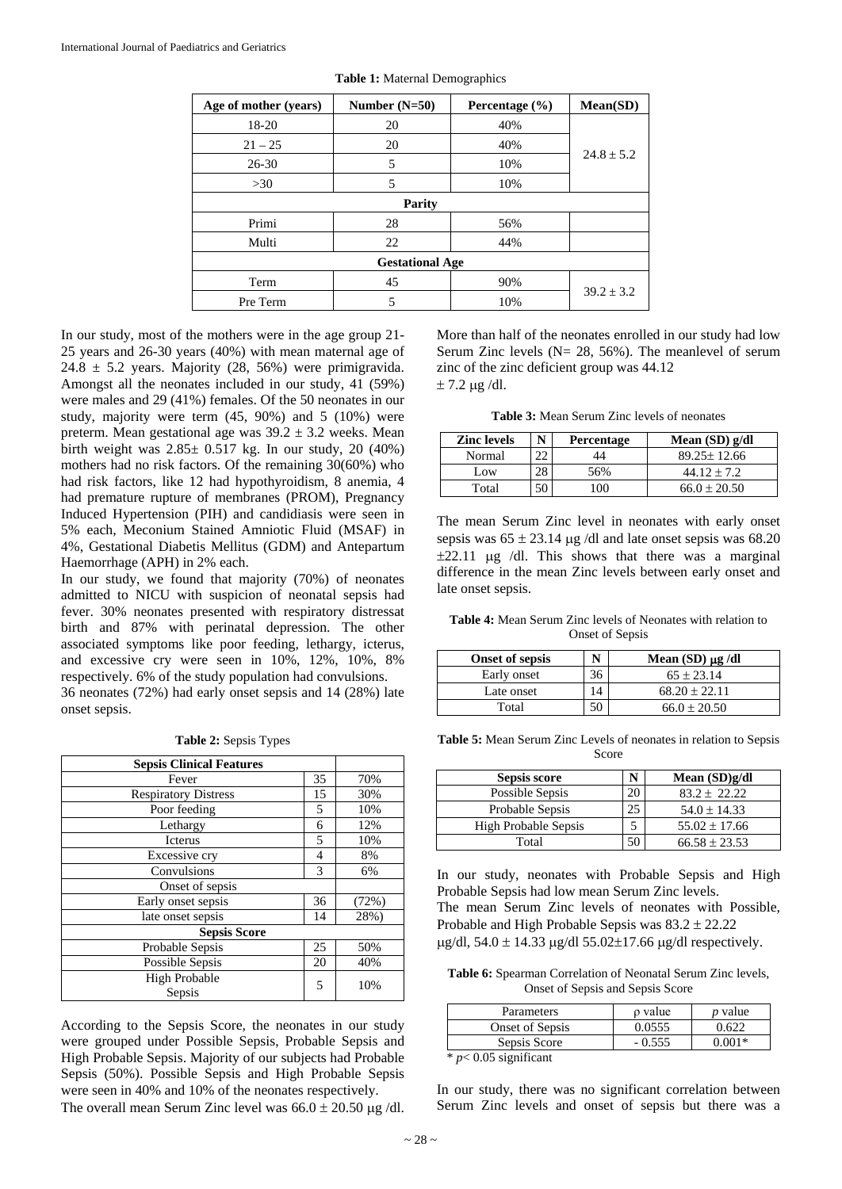| Age of mother (years) | Number $(N=50)$        | Percentage $(\% )$ | Mean(SD)       |
|-----------------------|------------------------|--------------------|----------------|
| 18-20                 | 20                     | 40%                |                |
| $21 - 25$             | 20                     | 40%                |                |
| $26 - 30$             | 5                      | 10%                | $24.8 + 5.2$   |
| >30                   | 5                      | 10%                |                |
|                       | <b>Parity</b>          |                    |                |
| Primi                 | 28                     | 56%                |                |
| Multi                 | 22                     | 44%                |                |
|                       | <b>Gestational Age</b> |                    |                |
| Term                  | 45                     | 90%                |                |
| Pre Term              | 5                      | 10%                | $39.2 \pm 3.2$ |

**Table 1:** Maternal Demographics

In our study, most of the mothers were in the age group 21- 25 years and 26-30 years (40%) with mean maternal age of 24.8  $\pm$  5.2 years. Majority (28, 56%) were primigravida. Amongst all the neonates included in our study, 41 (59%) were males and 29 (41%) females. Of the 50 neonates in our study, majority were term (45, 90%) and 5 (10%) were preterm. Mean gestational age was  $39.2 \pm 3.2$  weeks. Mean birth weight was  $2.85 \pm 0.517$  kg. In our study, 20 (40%) mothers had no risk factors. Of the remaining 30(60%) who had risk factors, like 12 had hypothyroidism, 8 anemia, 4 had premature rupture of membranes (PROM), Pregnancy Induced Hypertension (PIH) and candidiasis were seen in 5% each, Meconium Stained Amniotic Fluid (MSAF) in 4%, Gestational Diabetis Mellitus (GDM) and Antepartum Haemorrhage (APH) in 2% each.

In our study, we found that majority (70%) of neonates admitted to NICU with suspicion of neonatal sepsis had fever. 30% neonates presented with respiratory distressat birth and 87% with perinatal depression. The other associated symptoms like poor feeding, lethargy, icterus, and excessive cry were seen in 10%, 12%, 10%, 8% respectively. 6% of the study population had convulsions.

36 neonates (72%) had early onset sepsis and 14 (28%) late onset sepsis.

**Table 2:** Sepsis Types

| <b>Sepsis Clinical Features</b> |    |       |  |
|---------------------------------|----|-------|--|
| Fever                           | 35 | 70%   |  |
| <b>Respiratory Distress</b>     | 15 | 30%   |  |
| Poor feeding                    |    | 10%   |  |
| Lethargy                        |    | 12%   |  |
| Icterus                         |    | 10%   |  |
| Excessive cry                   |    | 8%    |  |
| Convulsions                     |    | 6%    |  |
| Onset of sepsis                 |    |       |  |
| Early onset sepsis              |    | (72%) |  |
| late onset sepsis               |    | 28%)  |  |
| <b>Sepsis Score</b>             |    |       |  |
| Probable Sepsis                 |    | 50%   |  |
| Possible Sepsis                 |    | 40%   |  |
| <b>High Probable</b><br>Sepsis  |    | 10%   |  |

According to the Sepsis Score, the neonates in our study were grouped under Possible Sepsis, Probable Sepsis and High Probable Sepsis. Majority of our subjects had Probable Sepsis (50%). Possible Sepsis and High Probable Sepsis were seen in 40% and 10% of the neonates respectively. The overall mean Serum Zinc level was  $66.0 \pm 20.50$  µg /dl.

More than half of the neonates enrolled in our study had low Serum Zinc levels ( $N = 28$ , 56%). The meanlevel of serum zinc of the zinc deficient group was 44.12  $± 7.2 \mu g/dl.$ 

**Table 3:** Mean Serum Zinc levels of neonates

| <b>Zinc</b> levels | <b>Percentage</b> | Mean $(SD)$ g/dl  |
|--------------------|-------------------|-------------------|
| Normal             |                   | $89.25 \pm 12.66$ |
| Low                | 56%               | $44.12 + 7.2$     |
| Total              | 00                | $66.0 \pm 20.50$  |

The mean Serum Zinc level in neonates with early onset sepsis was  $65 \pm 23.14$  µg /dl and late onset sepsis was 68.20  $\pm 22.11$  µg /dl. This shows that there was a marginal difference in the mean Zinc levels between early onset and late onset sepsis.

**Table 4:** Mean Serum Zinc levels of Neonates with relation to Onset of Sepsis

| <b>Onset of sepsis</b> | N  | Mean $(SD) \mu g/dl$ |
|------------------------|----|----------------------|
| Early onset            | 36 | $65 \pm 23.14$       |
| Late onset             |    | $68.20 \pm 22.11$    |
| Total                  | 50 | $66.0 \pm 20.50$     |

**Table 5:** Mean Serum Zinc Levels of neonates in relation to Sepsis Score

| Sepsis score                |    | Mean $(SD)g/dl$   |
|-----------------------------|----|-------------------|
| Possible Sepsis             | 20 | $83.2 \pm 22.22$  |
| Probable Sepsis             |    | $54.0 \pm 14.33$  |
| <b>High Probable Sepsis</b> |    | $55.02 \pm 17.66$ |
| Total                       |    | $66.58 \pm 23.53$ |

In our study, neonates with Probable Sepsis and High Probable Sepsis had low mean Serum Zinc levels. The mean Serum Zinc levels of neonates with Possible, Probable and High Probable Sepsis was 83.2 ± 22.22  $\mu$ g/dl, 54.0 ± 14.33  $\mu$ g/dl 55.02±17.66  $\mu$ g/dl respectively.

**Table 6:** Spearman Correlation of Neonatal Serum Zinc levels, Onset of Sepsis and Sepsis Score

| Parameters              | o value  | $p$ value |
|-------------------------|----------|-----------|
| Onset of Sepsis         | 0.0555   | 0.622     |
| Sepsis Score            | $-0.555$ | $0.001*$  |
| $*$ p< 0.05 significant |          |           |

In our study, there was no significant correlation between Serum Zinc levels and onset of sepsis but there was a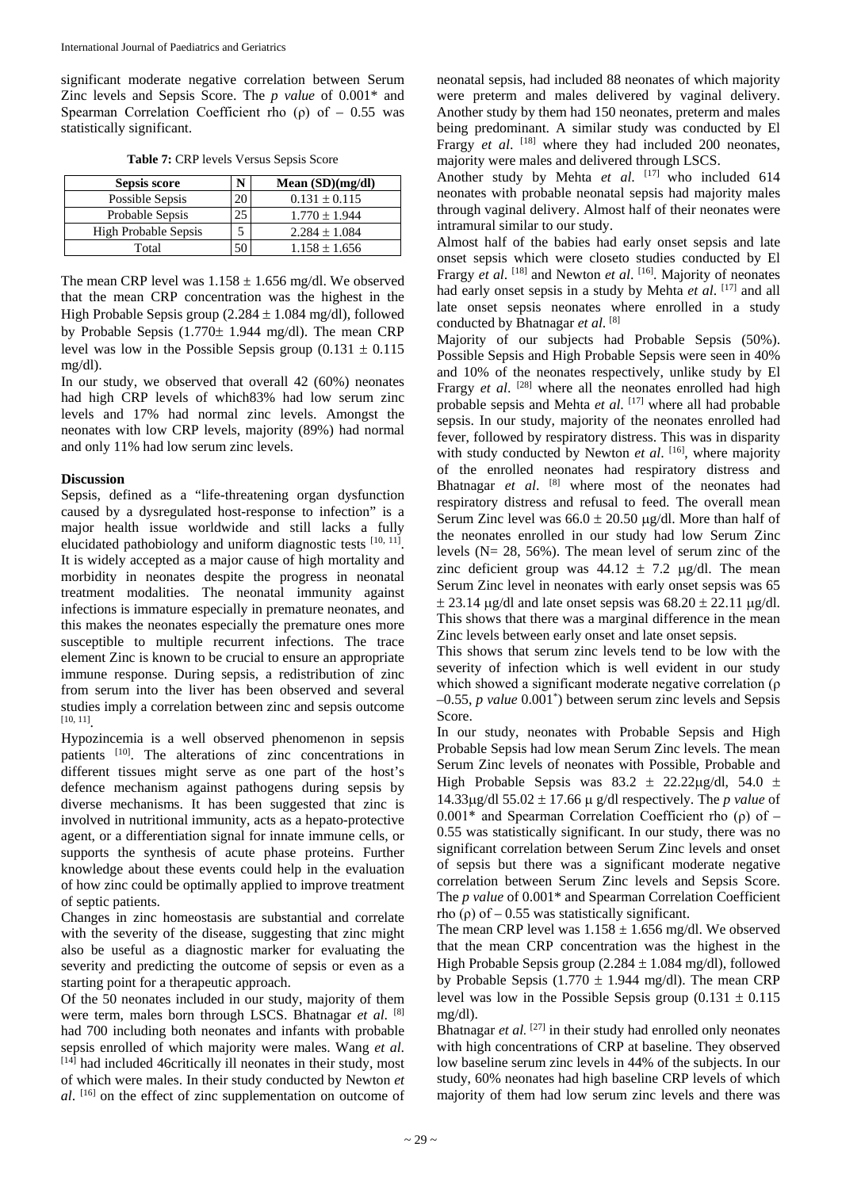significant moderate negative correlation between Serum Zinc levels and Sepsis Score. The *p value* of 0.001\* and Spearman Correlation Coefficient rho (ρ) of  $-0.55$  was statistically significant.

| <b>Table 7: CRP levels Versus Sepsis Score</b> |
|------------------------------------------------|
|------------------------------------------------|

| Sepsis score                | Mean $(SD)(mg/dl)$ |
|-----------------------------|--------------------|
| Possible Sepsis             | $0.131 \pm 0.115$  |
| Probable Sepsis             | $1.770 \pm 1.944$  |
| <b>High Probable Sepsis</b> | $2.284 \pm 1.084$  |
| Total                       | $1.158 \pm 1.656$  |

The mean CRP level was  $1.158 \pm 1.656$  mg/dl. We observed that the mean CRP concentration was the highest in the High Probable Sepsis group  $(2.284 \pm 1.084 \text{ mg/dl})$ , followed by Probable Sepsis (1.770± 1.944 mg/dl). The mean CRP level was low in the Possible Sepsis group  $(0.131 \pm 0.115$ mg/dl).

In our study, we observed that overall 42 (60%) neonates had high CRP levels of which83% had low serum zinc levels and 17% had normal zinc levels. Amongst the neonates with low CRP levels, majority (89%) had normal and only 11% had low serum zinc levels.

# **Discussion**

Sepsis, defined as a "life-threatening organ dysfunction caused by a dysregulated host-response to infection" is a major health issue worldwide and still lacks a fully elucidated pathobiology and uniform diagnostic tests [10, 11]. It is widely accepted as a major cause of high mortality and morbidity in neonates despite the progress in neonatal treatment modalities. The neonatal immunity against infections is immature especially in premature neonates, and this makes the neonates especially the premature ones more susceptible to multiple recurrent infections. The trace element Zinc is known to be crucial to ensure an appropriate immune response. During sepsis, a redistribution of zinc from serum into the liver has been observed and several studies imply a correlation between zinc and sepsis outcome [10, 11] .

Hypozincemia is a well observed phenomenon in sepsis patients <sup>[10]</sup>. The alterations of zinc concentrations in different tissues might serve as one part of the host's defence mechanism against pathogens during sepsis by diverse mechanisms. It has been suggested that zinc is involved in nutritional immunity, acts as a hepato-protective agent, or a differentiation signal for innate immune cells, or supports the synthesis of acute phase proteins. Further knowledge about these events could help in the evaluation of how zinc could be optimally applied to improve treatment of septic patients.

Changes in zinc homeostasis are substantial and correlate with the severity of the disease, suggesting that zinc might also be useful as a diagnostic marker for evaluating the severity and predicting the outcome of sepsis or even as a starting point for a therapeutic approach.

Of the 50 neonates included in our study, majority of them were term, males born through LSCS. Bhatnagar *et al*. [8] had 700 including both neonates and infants with probable sepsis enrolled of which majority were males. Wang *et al*. [14] had included 46critically ill neonates in their study, most of which were males. In their study conducted by Newton *et al*. [16] on the effect of zinc supplementation on outcome of

neonatal sepsis, had included 88 neonates of which majority were preterm and males delivered by vaginal delivery. Another study by them had 150 neonates, preterm and males being predominant. A similar study was conducted by El Frargy *et al.* <sup>[18]</sup> where they had included 200 neonates, majority were males and delivered through LSCS.

Another study by Mehta et al. [17] who included 614 neonates with probable neonatal sepsis had majority males through vaginal delivery. Almost half of their neonates were intramural similar to our study.

Almost half of the babies had early onset sepsis and late onset sepsis which were closeto studies conducted by El Frargy *et al.* <sup>[18]</sup> and Newton *et al.* <sup>[16]</sup>. Majority of neonates had early onset sepsis in a study by Mehta *et al*. [17] and all late onset sepsis neonates where enrolled in a study conducted by Bhatnagar *et al*. [8]

Majority of our subjects had Probable Sepsis (50%). Possible Sepsis and High Probable Sepsis were seen in 40% and 10% of the neonates respectively, unlike study by El Frargy *et al.* <sup>[28]</sup> where all the neonates enrolled had high probable sepsis and Mehta *et al*. [17] where all had probable sepsis. In our study, majority of the neonates enrolled had fever, followed by respiratory distress. This was in disparity with study conducted by Newton et al. [16], where majority of the enrolled neonates had respiratory distress and Bhatnagar *et al*. [8] where most of the neonates had respiratory distress and refusal to feed. The overall mean Serum Zinc level was  $66.0 \pm 20.50$  ug/dl. More than half of the neonates enrolled in our study had low Serum Zinc levels ( $N = 28$ , 56%). The mean level of serum zinc of the zinc deficient group was  $44.12 \pm 7.2$  µg/dl. The mean Serum Zinc level in neonates with early onset sepsis was 65  $\pm$  23.14 µg/dl and late onset sepsis was 68.20  $\pm$  22.11 µg/dl. This shows that there was a marginal difference in the mean Zinc levels between early onset and late onset sepsis.

This shows that serum zinc levels tend to be low with the severity of infection which is well evident in our study which showed a significant moderate negative correlation (ρ –0.55, *p value* 0.001\* ) between serum zinc levels and Sepsis Score.

In our study, neonates with Probable Sepsis and High Probable Sepsis had low mean Serum Zinc levels. The mean Serum Zinc levels of neonates with Possible, Probable and High Probable Sepsis was  $83.2 \pm 22.22 \mu$ g/dl, 54.0 ± 14.33µg/dl 55.02 ± 17.66 µ g/dl respectively. The *p value* of  $0.001*$  and Spearman Correlation Coefficient rho (ρ) of – 0.55 was statistically significant. In our study, there was no significant correlation between Serum Zinc levels and onset of sepsis but there was a significant moderate negative correlation between Serum Zinc levels and Sepsis Score. The *p value* of 0.001\* and Spearman Correlation Coefficient rho (ρ) of  $-0.55$  was statistically significant.

The mean CRP level was  $1.158 \pm 1.656$  mg/dl. We observed that the mean CRP concentration was the highest in the High Probable Sepsis group  $(2.284 \pm 1.084 \text{ mg/dl})$ , followed by Probable Sepsis (1.770  $\pm$  1.944 mg/dl). The mean CRP level was low in the Possible Sepsis group  $(0.131 \pm 0.115$ mg/dl).

Bhatnagar *et al.* <sup>[27]</sup> in their study had enrolled only neonates with high concentrations of CRP at baseline. They observed low baseline serum zinc levels in 44% of the subjects. In our study, 60% neonates had high baseline CRP levels of which majority of them had low serum zinc levels and there was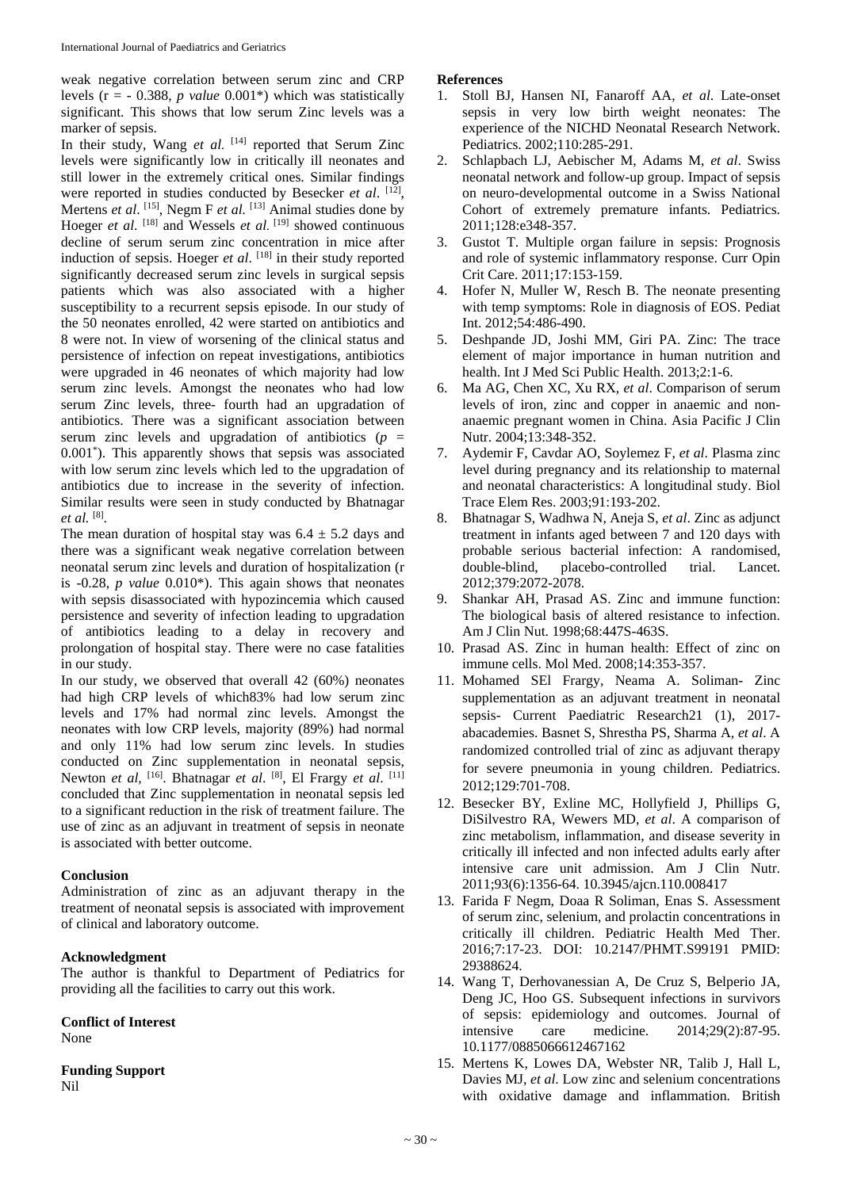weak negative correlation between serum zinc and CRP levels (r = - 0.388, *p value* 0.001\*) which was statistically significant. This shows that low serum Zinc levels was a marker of sepsis.

In their study, Wang *et al.* [14] reported that Serum Zinc levels were significantly low in critically ill neonates and still lower in the extremely critical ones. Similar findings were reported in studies conducted by Besecker *et al.* [12], Mertens *et al.* <sup>[15]</sup>, Negm F *et al.* <sup>[13]</sup> Animal studies done by Hoeger *et al.* <sup>[18]</sup> and Wessels *et al.* <sup>[19]</sup> showed continuous decline of serum serum zinc concentration in mice after induction of sepsis. Hoeger *et al.* [18] in their study reported significantly decreased serum zinc levels in surgical sepsis patients which was also associated with a higher susceptibility to a recurrent sepsis episode. In our study of the 50 neonates enrolled, 42 were started on antibiotics and 8 were not. In view of worsening of the clinical status and persistence of infection on repeat investigations, antibiotics were upgraded in 46 neonates of which majority had low serum zinc levels. Amongst the neonates who had low serum Zinc levels, three- fourth had an upgradation of antibiotics. There was a significant association between serum zinc levels and upgradation of antibiotics (*p* = 0.001\* ). This apparently shows that sepsis was associated with low serum zinc levels which led to the upgradation of antibiotics due to increase in the severity of infection. Similar results were seen in study conducted by Bhatnagar *et al.* [8] .

The mean duration of hospital stay was  $6.4 \pm 5.2$  days and there was a significant weak negative correlation between neonatal serum zinc levels and duration of hospitalization (r is -0.28, *p value* 0.010\*). This again shows that neonates with sepsis disassociated with hypozincemia which caused persistence and severity of infection leading to upgradation of antibiotics leading to a delay in recovery and prolongation of hospital stay. There were no case fatalities in our study.

In our study, we observed that overall 42 (60%) neonates had high CRP levels of which83% had low serum zinc levels and 17% had normal zinc levels. Amongst the neonates with low CRP levels, majority (89%) had normal and only 11% had low serum zinc levels. In studies conducted on Zinc supplementation in neonatal sepsis, Newton *et al*, <sup>[16]</sup>. Bhatnagar *et al*. <sup>[8]</sup>, El Frargy *et al*. <sup>[11]</sup> concluded that Zinc supplementation in neonatal sepsis led to a significant reduction in the risk of treatment failure. The use of zinc as an adjuvant in treatment of sepsis in neonate is associated with better outcome.

## **Conclusion**

Administration of zinc as an adjuvant therapy in the treatment of neonatal sepsis is associated with improvement of clinical and laboratory outcome.

## **Acknowledgment**

The author is thankful to Department of Pediatrics for providing all the facilities to carry out this work.

**Conflict of Interest**

None

**Funding Support** Nil

# **References**

- 1. Stoll BJ, Hansen NI, Fanaroff AA, *et al*. Late-onset sepsis in very low birth weight neonates: The experience of the NICHD Neonatal Research Network. Pediatrics. 2002;110:285-291.
- 2. Schlapbach LJ, Aebischer M, Adams M, *et al*. Swiss neonatal network and follow-up group. Impact of sepsis on neuro-developmental outcome in a Swiss National Cohort of extremely premature infants. Pediatrics. 2011;128:e348-357.
- 3. Gustot T. Multiple organ failure in sepsis: Prognosis and role of systemic inflammatory response. Curr Opin Crit Care. 2011;17:153-159.
- 4. Hofer N, Muller W, Resch B. The neonate presenting with temp symptoms: Role in diagnosis of EOS. Pediat Int. 2012;54:486-490.
- 5. Deshpande JD, Joshi MM, Giri PA. Zinc: The trace element of major importance in human nutrition and health. Int J Med Sci Public Health. 2013;2:1-6.
- 6. Ma AG, Chen XC, Xu RX, *et al*. Comparison of serum levels of iron, zinc and copper in anaemic and nonanaemic pregnant women in China. Asia Pacific J Clin Nutr. 2004;13:348-352.
- 7. Aydemir F, Cavdar AO, Soylemez F, *et al*. Plasma zinc level during pregnancy and its relationship to maternal and neonatal characteristics: A longitudinal study. Biol Trace Elem Res. 2003;91:193-202.
- 8. Bhatnagar S, Wadhwa N, Aneja S, *et al*. Zinc as adjunct treatment in infants aged between 7 and 120 days with probable serious bacterial infection: A randomised, double-blind, placebo-controlled trial. Lancet. 2012;379:2072-2078.
- 9. Shankar AH, Prasad AS. Zinc and immune function: The biological basis of altered resistance to infection. Am J Clin Nut. 1998;68:447S-463S.
- 10. Prasad AS. Zinc in human health: Effect of zinc on immune cells. Mol Med. 2008;14:353-357.
- 11. Mohamed SEl Frargy, Neama A. Soliman- Zinc supplementation as an adjuvant treatment in neonatal sepsis- Current Paediatric Research21 (1), 2017 abacademies. Basnet S, Shrestha PS, Sharma A, *et al*. A randomized controlled trial of zinc as adjuvant therapy for severe pneumonia in young children. Pediatrics. 2012;129:701-708.
- 12. Besecker BY, Exline MC, Hollyfield J, Phillips G, DiSilvestro RA, Wewers MD, *et al*. A comparison of zinc metabolism, inflammation, and disease severity in critically ill infected and non infected adults early after intensive care unit admission. Am J Clin Nutr. 2011;93(6):1356-64. 10.3945/ajcn.110.008417
- 13. Farida F Negm, Doaa R Soliman, Enas S. Assessment of serum zinc, selenium, and prolactin concentrations in critically ill children. Pediatric Health Med Ther. 2016;7:17-23. DOI: 10.2147/PHMT.S99191 PMID: 29388624.
- 14. Wang T, Derhovanessian A, De Cruz S, Belperio JA, Deng JC, Hoo GS. Subsequent infections in survivors of sepsis: epidemiology and outcomes. Journal of intensive care medicine. 2014;29(2):87-95. 10.1177/0885066612467162
- 15. Mertens K, Lowes DA, Webster NR, Talib J, Hall L, Davies MJ, *et al*. Low zinc and selenium concentrations with oxidative damage and inflammation. British